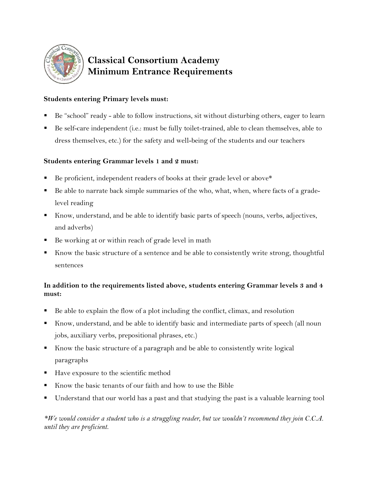

# **Classical Consortium Academy Minimum Entrance Requirements**

### **Students entering Primary levels must:**

- Be "school" ready able to follow instructions, sit without disturbing others, eager to learn
- Be self-care independent (i.e.: must be fully toilet-trained, able to clean themselves, able to dress themselves, etc.) for the safety and well-being of the students and our teachers

#### **Students entering Grammar levels 1 and 2 must:**

- Be proficient, independent readers of books at their grade level or above\*
- Be able to narrate back simple summaries of the who, what, when, where facts of a gradelevel reading
- Know, understand, and be able to identify basic parts of speech (nouns, verbs, adjectives, and adverbs)
- Be working at or within reach of grade level in math
- Know the basic structure of a sentence and be able to consistently write strong, thoughtful sentences

## **In addition to the requirements listed above, students entering Grammar levels 3 and 4 must:**

- Be able to explain the flow of a plot including the conflict, climax, and resolution
- Know, understand, and be able to identify basic and intermediate parts of speech (all noun jobs, auxiliary verbs, prepositional phrases, etc.)
- Know the basic structure of a paragraph and be able to consistently write logical paragraphs
- Have exposure to the scientific method
- Know the basic tenants of our faith and how to use the Bible
- Understand that our world has a past and that studying the past is a valuable learning tool

*\*We would consider a student who is a struggling reader, but we wouldn't recommend they join C.C.A. until they are proficient.*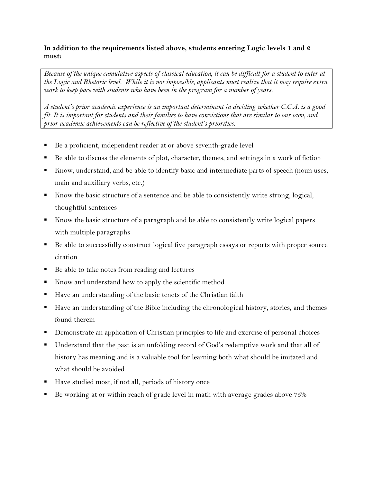#### **In addition to the requirements listed above, students entering Logic levels 1 and 2 must:**

*Because of the unique cumulative aspects of classical education, it can be difficult for a student to enter at the Logic and Rhetoric level. While it is not impossible, applicants must realize that it may require extra work to keep pace with students who have been in the program for a number of years.* 

*A student's prior academic experience is an important determinant in deciding whether C.C.A. is a good fit. It is important for students and their families to have convictions that are similar to our own, and prior academic achievements can be reflective of the student's priorities.* 

- Be a proficient, independent reader at or above seventh-grade level
- Be able to discuss the elements of plot, character, themes, and settings in a work of fiction
- Know, understand, and be able to identify basic and intermediate parts of speech (noun uses, main and auxiliary verbs, etc.)
- Know the basic structure of a sentence and be able to consistently write strong, logical, thoughtful sentences
- Know the basic structure of a paragraph and be able to consistently write logical papers with multiple paragraphs
- Be able to successfully construct logical five paragraph essays or reports with proper source citation
- Be able to take notes from reading and lectures
- Know and understand how to apply the scientific method
- Have an understanding of the basic tenets of the Christian faith
- Have an understanding of the Bible including the chronological history, stories, and themes found therein
- Demonstrate an application of Christian principles to life and exercise of personal choices
- Understand that the past is an unfolding record of God's redemptive work and that all of history has meaning and is a valuable tool for learning both what should be imitated and what should be avoided
- Have studied most, if not all, periods of history once
- Be working at or within reach of grade level in math with average grades above 75%